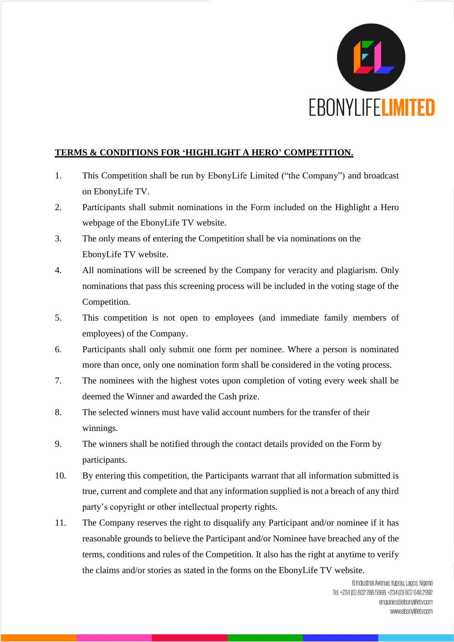

## **TERMS & CONDITIONS FOR 'HIGHLIGHT A HERO' COMPETITION.**

- 1. This Competition shall be run by EbonyLife Limited ("the Company") and broadcast on EbonyLife TV.
- 2. Participants shall submit nominations in the Form included on the Highlight a Hero webpage of the EbonyLife TV website.
- 3. The only means of entering the Competition shall be via nominations on the EbonyLife TV website.
- 4. All nominations will be screened by the Company for veracity and plagiarism. Only nominations that pass this screening process will be included in the voting stage of the Competition.
- 5. This competition is not open to employees (and immediate family members of employees) of the Company.
- 6. Participants shall only submit one form per nominee. Where a person is nominated more than once, only one nomination form shall be considered in the voting process.
- 7. The nominees with the highest votes upon completion of voting every week shall be deemed the Winner and awarded the Cash prize.
- 8. The selected winners must have valid account numbers for the transfer of their winnings.
- 9. The winners shall be notified through the contact details provided on the Form by participants.
- 10. By entering this competition, the Participants warrant that all information submitted is true, current and complete and that any information supplied is not a breach of any third party's copyright or other intellectual property rights.
- 11. The Company reserves the right to disqualify any Participant and/or nominee if it has reasonable grounds to believe the Participant and/or Nominee have breached any of the terms, conditions and rules of the Competition. It also has the right at anytime to verify the claims and/or stories as stated in the forms on the EbonyLife TV website.